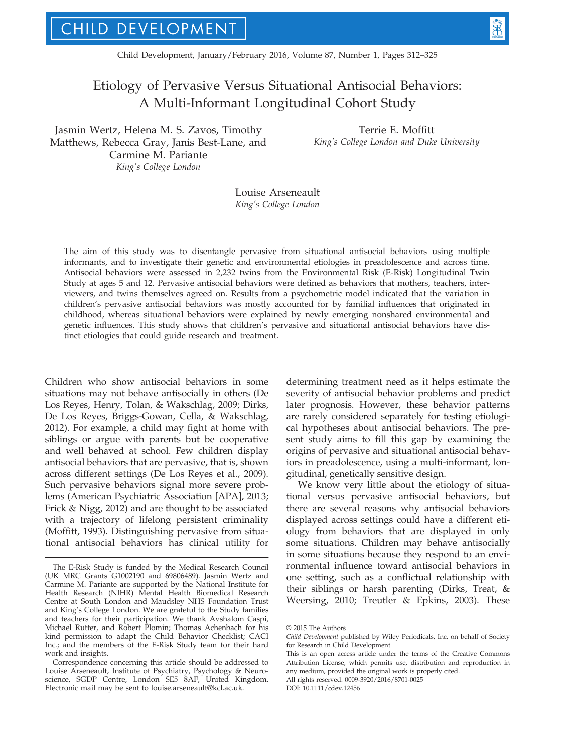# Etiology of Pervasive Versus Situational Antisocial Behaviors: A Multi-Informant Longitudinal Cohort Study

Jasmin Wertz, Helena M. S. Zavos, Timothy Matthews, Rebecca Gray, Janis Best-Lane, and Carmine M. Pariante King's College London

Terrie E. Moffitt King's College London and Duke University

Louise Arseneault King's College London

The aim of this study was to disentangle pervasive from situational antisocial behaviors using multiple informants, and to investigate their genetic and environmental etiologies in preadolescence and across time. Antisocial behaviors were assessed in 2,232 twins from the Environmental Risk (E-Risk) Longitudinal Twin Study at ages 5 and 12. Pervasive antisocial behaviors were defined as behaviors that mothers, teachers, interviewers, and twins themselves agreed on. Results from a psychometric model indicated that the variation in children's pervasive antisocial behaviors was mostly accounted for by familial influences that originated in childhood, whereas situational behaviors were explained by newly emerging nonshared environmental and genetic influences. This study shows that children's pervasive and situational antisocial behaviors have distinct etiologies that could guide research and treatment.

Children who show antisocial behaviors in some situations may not behave antisocially in others (De Los Reyes, Henry, Tolan, & Wakschlag, 2009; Dirks, De Los Reyes, Briggs-Gowan, Cella, & Wakschlag, 2012). For example, a child may fight at home with siblings or argue with parents but be cooperative and well behaved at school. Few children display antisocial behaviors that are pervasive, that is, shown across different settings (De Los Reyes et al., 2009). Such pervasive behaviors signal more severe problems (American Psychiatric Association [APA], 2013; Frick & Nigg, 2012) and are thought to be associated with a trajectory of lifelong persistent criminality (Moffitt, 1993). Distinguishing pervasive from situational antisocial behaviors has clinical utility for determining treatment need as it helps estimate the severity of antisocial behavior problems and predict later prognosis. However, these behavior patterns are rarely considered separately for testing etiological hypotheses about antisocial behaviors. The present study aims to fill this gap by examining the origins of pervasive and situational antisocial behaviors in preadolescence, using a multi-informant, longitudinal, genetically sensitive design.

We know very little about the etiology of situational versus pervasive antisocial behaviors, but there are several reasons why antisocial behaviors displayed across settings could have a different etiology from behaviors that are displayed in only some situations. Children may behave antisocially in some situations because they respond to an environmental influence toward antisocial behaviors in one setting, such as a conflictual relationship with their siblings or harsh parenting (Dirks, Treat, & Weersing, 2010; Treutler & Epkins, 2003). These

DOI: 10.1111/cdev.12456

The E-Risk Study is funded by the Medical Research Council (UK MRC Grants G1002190 and 69806489). Jasmin Wertz and Carmine M. Pariante are supported by the National Institute for Health Research (NIHR) Mental Health Biomedical Research Centre at South London and Maudsley NHS Foundation Trust and King's College London. We are grateful to the Study families and teachers for their participation. We thank Avshalom Caspi, Michael Rutter, and Robert Plomin; Thomas Achenbach for his kind permission to adapt the Child Behavior Checklist; CACI Inc.; and the members of the E-Risk Study team for their hard work and insights.

Correspondence concerning this article should be addressed to Louise Arseneault, Institute of Psychiatry, Psychology & Neuroscience, SGDP Centre, London SE5 8AF, United Kingdom. Electronic mail may be sent to louise.arseneault@kcl.ac.uk.

<sup>©</sup> 2015 The Authors

Child Development published by Wiley Periodicals, Inc. on behalf of Society for Research in Child Development

This is an open access article under the terms of the Creative Commons Attribution License, which permits use, distribution and reproduction in any medium, provided the original work is properly cited. All rights reserved. 0009-3920/2016/8701-0025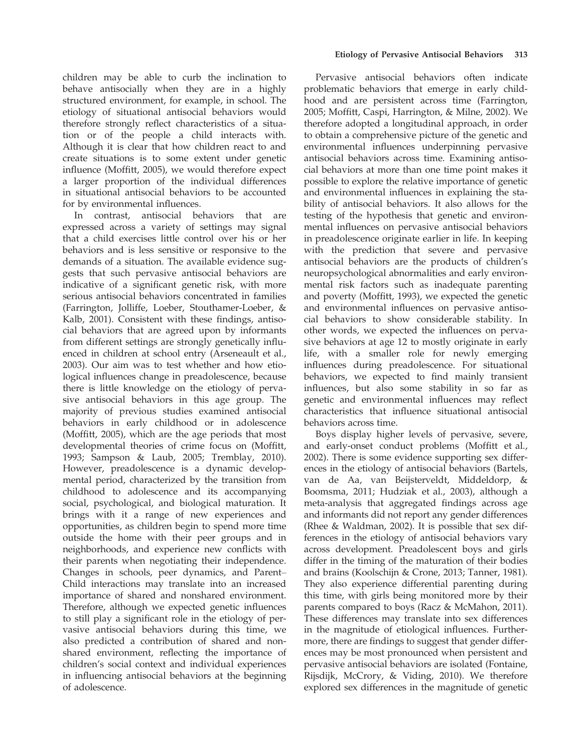children may be able to curb the inclination to behave antisocially when they are in a highly structured environment, for example, in school. The etiology of situational antisocial behaviors would therefore strongly reflect characteristics of a situation or of the people a child interacts with. Although it is clear that how children react to and create situations is to some extent under genetic influence (Moffitt, 2005), we would therefore expect a larger proportion of the individual differences in situational antisocial behaviors to be accounted for by environmental influences.

In contrast, antisocial behaviors that are expressed across a variety of settings may signal that a child exercises little control over his or her behaviors and is less sensitive or responsive to the demands of a situation. The available evidence suggests that such pervasive antisocial behaviors are indicative of a significant genetic risk, with more serious antisocial behaviors concentrated in families (Farrington, Jolliffe, Loeber, Stouthamer-Loeber, & Kalb, 2001). Consistent with these findings, antisocial behaviors that are agreed upon by informants from different settings are strongly genetically influenced in children at school entry (Arseneault et al., 2003). Our aim was to test whether and how etiological influences change in preadolescence, because there is little knowledge on the etiology of pervasive antisocial behaviors in this age group. The majority of previous studies examined antisocial behaviors in early childhood or in adolescence (Moffitt, 2005), which are the age periods that most developmental theories of crime focus on (Moffitt, 1993; Sampson & Laub, 2005; Tremblay, 2010). However, preadolescence is a dynamic developmental period, characterized by the transition from childhood to adolescence and its accompanying social, psychological, and biological maturation. It brings with it a range of new experiences and opportunities, as children begin to spend more time outside the home with their peer groups and in neighborhoods, and experience new conflicts with their parents when negotiating their independence. Changes in schools, peer dynamics, and Parent– Child interactions may translate into an increased importance of shared and nonshared environment. Therefore, although we expected genetic influences to still play a significant role in the etiology of pervasive antisocial behaviors during this time, we also predicted a contribution of shared and nonshared environment, reflecting the importance of children's social context and individual experiences in influencing antisocial behaviors at the beginning of adolescence.

Pervasive antisocial behaviors often indicate problematic behaviors that emerge in early childhood and are persistent across time (Farrington, 2005; Moffitt, Caspi, Harrington, & Milne, 2002). We therefore adopted a longitudinal approach, in order to obtain a comprehensive picture of the genetic and environmental influences underpinning pervasive antisocial behaviors across time. Examining antisocial behaviors at more than one time point makes it possible to explore the relative importance of genetic and environmental influences in explaining the stability of antisocial behaviors. It also allows for the testing of the hypothesis that genetic and environmental influences on pervasive antisocial behaviors in preadolescence originate earlier in life. In keeping with the prediction that severe and pervasive antisocial behaviors are the products of children's neuropsychological abnormalities and early environmental risk factors such as inadequate parenting and poverty (Moffitt, 1993), we expected the genetic and environmental influences on pervasive antisocial behaviors to show considerable stability. In other words, we expected the influences on pervasive behaviors at age 12 to mostly originate in early life, with a smaller role for newly emerging influences during preadolescence. For situational behaviors, we expected to find mainly transient influences, but also some stability in so far as genetic and environmental influences may reflect characteristics that influence situational antisocial behaviors across time.

Boys display higher levels of pervasive, severe, and early-onset conduct problems (Moffitt et al., 2002). There is some evidence supporting sex differences in the etiology of antisocial behaviors (Bartels, van de Aa, van Beijsterveldt, Middeldorp, & Boomsma, 2011; Hudziak et al., 2003), although a meta-analysis that aggregated findings across age and informants did not report any gender differences (Rhee & Waldman, 2002). It is possible that sex differences in the etiology of antisocial behaviors vary across development. Preadolescent boys and girls differ in the timing of the maturation of their bodies and brains (Koolschijn & Crone, 2013; Tanner, 1981). They also experience differential parenting during this time, with girls being monitored more by their parents compared to boys (Racz & McMahon, 2011). These differences may translate into sex differences in the magnitude of etiological influences. Furthermore, there are findings to suggest that gender differences may be most pronounced when persistent and pervasive antisocial behaviors are isolated (Fontaine, Rijsdijk, McCrory, & Viding, 2010). We therefore explored sex differences in the magnitude of genetic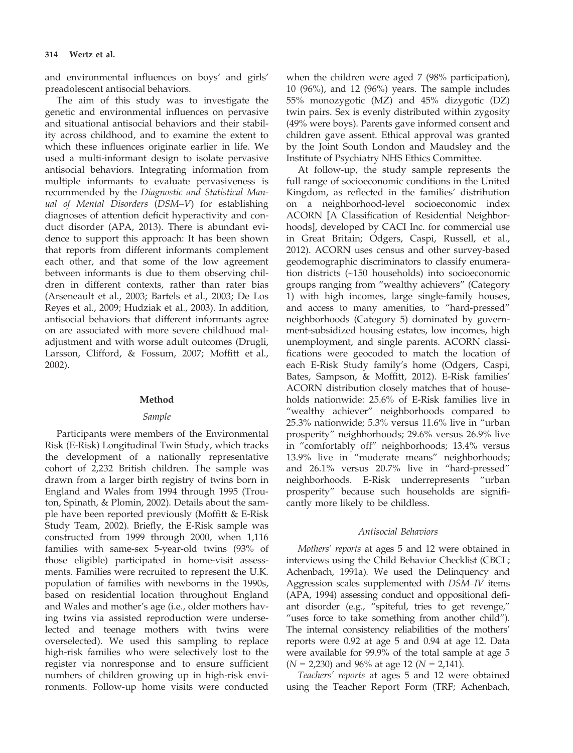and environmental influences on boys' and girls' preadolescent antisocial behaviors.

The aim of this study was to investigate the genetic and environmental influences on pervasive and situational antisocial behaviors and their stability across childhood, and to examine the extent to which these influences originate earlier in life. We used a multi-informant design to isolate pervasive antisocial behaviors. Integrating information from multiple informants to evaluate pervasiveness is recommended by the Diagnostic and Statistical Manual of Mental Disorders (DSM–V) for establishing diagnoses of attention deficit hyperactivity and conduct disorder (APA, 2013). There is abundant evidence to support this approach: It has been shown that reports from different informants complement each other, and that some of the low agreement between informants is due to them observing children in different contexts, rather than rater bias (Arseneault et al., 2003; Bartels et al., 2003; De Los Reyes et al., 2009; Hudziak et al., 2003). In addition, antisocial behaviors that different informants agree on are associated with more severe childhood maladjustment and with worse adult outcomes (Drugli, Larsson, Clifford, & Fossum, 2007; Moffitt et al., 2002).

### Method

### Sample

Participants were members of the Environmental Risk (E-Risk) Longitudinal Twin Study, which tracks the development of a nationally representative cohort of 2,232 British children. The sample was drawn from a larger birth registry of twins born in England and Wales from 1994 through 1995 (Trouton, Spinath, & Plomin, 2002). Details about the sample have been reported previously (Moffitt & E-Risk Study Team, 2002). Briefly, the E-Risk sample was constructed from 1999 through 2000, when 1,116 families with same-sex 5-year-old twins (93% of those eligible) participated in home-visit assessments. Families were recruited to represent the U.K. population of families with newborns in the 1990s, based on residential location throughout England and Wales and mother's age (i.e., older mothers having twins via assisted reproduction were underselected and teenage mothers with twins were overselected). We used this sampling to replace high-risk families who were selectively lost to the register via nonresponse and to ensure sufficient numbers of children growing up in high-risk environments. Follow-up home visits were conducted

when the children were aged 7 (98% participation), 10 (96%), and 12 (96%) years. The sample includes 55% monozygotic (MZ) and 45% dizygotic (DZ) twin pairs. Sex is evenly distributed within zygosity (49% were boys). Parents gave informed consent and children gave assent. Ethical approval was granted by the Joint South London and Maudsley and the Institute of Psychiatry NHS Ethics Committee.

At follow-up, the study sample represents the full range of socioeconomic conditions in the United Kingdom, as reflected in the families' distribution on a neighborhood-level socioeconomic index ACORN [A Classification of Residential Neighborhoods], developed by CACI Inc. for commercial use in Great Britain; Odgers, Caspi, Russell, et al., 2012). ACORN uses census and other survey-based geodemographic discriminators to classify enumeration districts (~150 households) into socioeconomic groups ranging from "wealthy achievers" (Category 1) with high incomes, large single-family houses, and access to many amenities, to "hard-pressed" neighborhoods (Category 5) dominated by government-subsidized housing estates, low incomes, high unemployment, and single parents. ACORN classifications were geocoded to match the location of each E-Risk Study family's home (Odgers, Caspi, Bates, Sampson, & Moffitt, 2012). E-Risk families' ACORN distribution closely matches that of households nationwide: 25.6% of E-Risk families live in "wealthy achiever" neighborhoods compared to 25.3% nationwide; 5.3% versus 11.6% live in "urban prosperity" neighborhoods; 29.6% versus 26.9% live in "comfortably off" neighborhoods; 13.4% versus 13.9% live in "moderate means" neighborhoods; and 26.1% versus 20.7% live in "hard-pressed" neighborhoods. E-Risk underrepresents "urban prosperity" because such households are significantly more likely to be childless.

#### Antisocial Behaviors

Mothers' reports at ages 5 and 12 were obtained in interviews using the Child Behavior Checklist (CBCL; Achenbach, 1991a). We used the Delinquency and Aggression scales supplemented with DSM–IV items (APA, 1994) assessing conduct and oppositional defiant disorder (e.g., "spiteful, tries to get revenge," "uses force to take something from another child"). The internal consistency reliabilities of the mothers' reports were 0.92 at age 5 and 0.94 at age 12. Data were available for 99.9% of the total sample at age 5  $(N = 2,230)$  and 96% at age 12 ( $N = 2,141$ ).

Teachers' reports at ages 5 and 12 were obtained using the Teacher Report Form (TRF; Achenbach,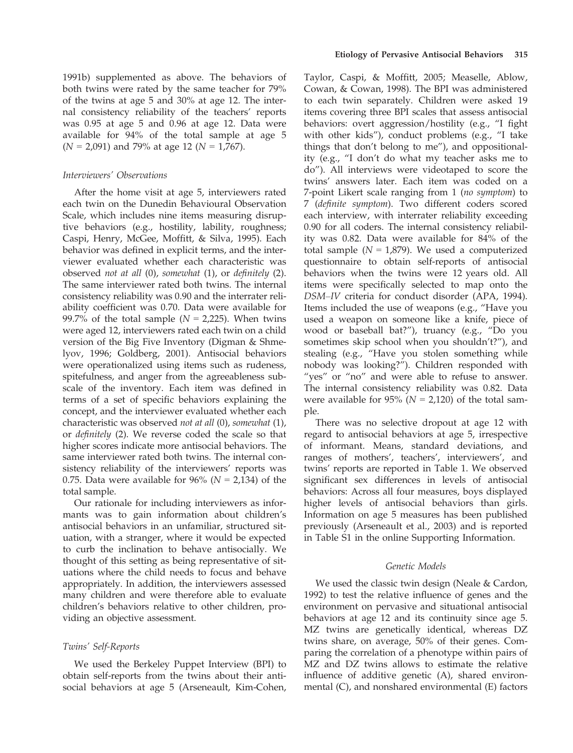1991b) supplemented as above. The behaviors of both twins were rated by the same teacher for 79% of the twins at age 5 and 30% at age 12. The internal consistency reliability of the teachers' reports was 0.95 at age 5 and 0.96 at age 12. Data were available for 94% of the total sample at age 5  $(N = 2,091)$  and 79% at age 12 ( $N = 1,767$ ).

# Interviewers' Observations

After the home visit at age 5, interviewers rated each twin on the Dunedin Behavioural Observation Scale, which includes nine items measuring disruptive behaviors (e.g., hostility, lability, roughness; Caspi, Henry, McGee, Moffitt, & Silva, 1995). Each behavior was defined in explicit terms, and the interviewer evaluated whether each characteristic was observed not at all (0), somewhat (1), or definitely (2). The same interviewer rated both twins. The internal consistency reliability was 0.90 and the interrater reliability coefficient was 0.70. Data were available for 99.7% of the total sample ( $N = 2,225$ ). When twins were aged 12, interviewers rated each twin on a child version of the Big Five Inventory (Digman & Shmelyov, 1996; Goldberg, 2001). Antisocial behaviors were operationalized using items such as rudeness, spitefulness, and anger from the agreeableness subscale of the inventory. Each item was defined in terms of a set of specific behaviors explaining the concept, and the interviewer evaluated whether each characteristic was observed not at all (0), somewhat (1), or definitely (2). We reverse coded the scale so that higher scores indicate more antisocial behaviors. The same interviewer rated both twins. The internal consistency reliability of the interviewers' reports was 0.75. Data were available for 96% ( $N = 2,134$ ) of the total sample.

Our rationale for including interviewers as informants was to gain information about children's antisocial behaviors in an unfamiliar, structured situation, with a stranger, where it would be expected to curb the inclination to behave antisocially. We thought of this setting as being representative of situations where the child needs to focus and behave appropriately. In addition, the interviewers assessed many children and were therefore able to evaluate children's behaviors relative to other children, providing an objective assessment.

### Twins' Self-Reports

We used the Berkeley Puppet Interview (BPI) to obtain self-reports from the twins about their antisocial behaviors at age 5 (Arseneault, Kim-Cohen,

Taylor, Caspi, & Moffitt, 2005; Measelle, Ablow, Cowan, & Cowan, 1998). The BPI was administered to each twin separately. Children were asked 19 items covering three BPI scales that assess antisocial behaviors: overt aggression/hostility (e.g., "I fight with other kids"), conduct problems (e.g., "I take things that don't belong to me"), and oppositionality (e.g., "I don't do what my teacher asks me to do"). All interviews were videotaped to score the twins' answers later. Each item was coded on a 7-point Likert scale ranging from 1 (no symptom) to 7 (definite symptom). Two different coders scored each interview, with interrater reliability exceeding 0.90 for all coders. The internal consistency reliability was 0.82. Data were available for 84% of the total sample ( $N = 1,879$ ). We used a computerized questionnaire to obtain self-reports of antisocial behaviors when the twins were 12 years old. All items were specifically selected to map onto the DSM–IV criteria for conduct disorder (APA, 1994). Items included the use of weapons (e.g., "Have you used a weapon on someone like a knife, piece of wood or baseball bat?"), truancy (e.g., "Do you sometimes skip school when you shouldn't?"), and stealing (e.g., "Have you stolen something while nobody was looking?"). Children responded with "yes" or "no" and were able to refuse to answer. The internal consistency reliability was 0.82. Data were available for  $95\%$  ( $N = 2,120$ ) of the total sample.

There was no selective dropout at age 12 with regard to antisocial behaviors at age 5, irrespective of informant. Means, standard deviations, and ranges of mothers', teachers', interviewers', and twins' reports are reported in Table 1. We observed significant sex differences in levels of antisocial behaviors: Across all four measures, boys displayed higher levels of antisocial behaviors than girls. Information on age 5 measures has been published previously (Arseneault et al., 2003) and is reported in Table S1 in the online Supporting Information.

### Genetic Models

We used the classic twin design (Neale & Cardon, 1992) to test the relative influence of genes and the environment on pervasive and situational antisocial behaviors at age 12 and its continuity since age 5. MZ twins are genetically identical, whereas DZ twins share, on average, 50% of their genes. Comparing the correlation of a phenotype within pairs of MZ and DZ twins allows to estimate the relative influence of additive genetic (A), shared environmental (C), and nonshared environmental (E) factors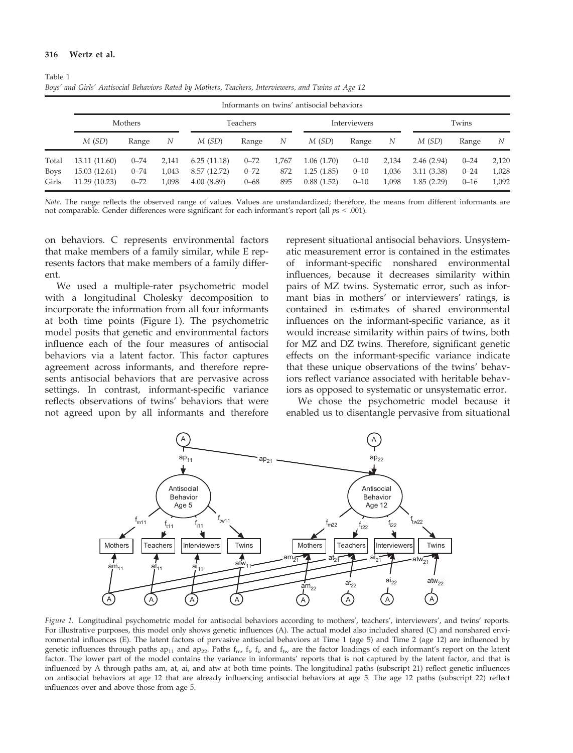#### 316 Wertz et al.

|                               | Informants on twins' antisocial behaviors       |                                  |                         |                                           |                                  |                     |                                        |                                  |                         |                                        |                                  |                         |
|-------------------------------|-------------------------------------------------|----------------------------------|-------------------------|-------------------------------------------|----------------------------------|---------------------|----------------------------------------|----------------------------------|-------------------------|----------------------------------------|----------------------------------|-------------------------|
|                               | Mothers                                         |                                  | Teachers                |                                           | Interviewers                     |                     |                                        | Twins                            |                         |                                        |                                  |                         |
|                               | M(SD)                                           | Range                            | N                       | M(SD)                                     | Range                            | N                   | M(SD)                                  | Range                            | N                       | M(SD)                                  | Range                            | N                       |
| Total<br><b>Boys</b><br>Girls | 13.11 (11.60)<br>15.03 (12.61)<br>11.29 (10.23) | $0 - 74$<br>$0 - 74$<br>$0 - 72$ | 2,141<br>1,043<br>1,098 | 6.25(11.18)<br>8.57 (12.72)<br>4.00(8.89) | $0 - 72$<br>$0 - 72$<br>$0 - 68$ | 1,767<br>872<br>895 | 1.06(1.70)<br>1.25(1.85)<br>0.88(1.52) | $0 - 10$<br>$0 - 10$<br>$0 - 10$ | 2.134<br>1,036<br>1,098 | 2.46(2.94)<br>3.11(3.38)<br>1.85(2.29) | $0 - 24$<br>$0 - 24$<br>$0 - 16$ | 2,120<br>1,028<br>1,092 |

| Table 1 |                                                                                                     |  |  |
|---------|-----------------------------------------------------------------------------------------------------|--|--|
|         | Boys' and Girls' Antisocial Behaviors Rated by Mothers, Teachers, Interviewers, and Twins at Age 12 |  |  |

Note. The range reflects the observed range of values. Values are unstandardized; therefore, the means from different informants are not comparable. Gender differences were significant for each informant's report (all  $ps < .001$ ).

on behaviors. C represents environmental factors that make members of a family similar, while E represents factors that make members of a family different.

We used a multiple-rater psychometric model with a longitudinal Cholesky decomposition to incorporate the information from all four informants at both time points (Figure 1). The psychometric model posits that genetic and environmental factors influence each of the four measures of antisocial behaviors via a latent factor. This factor captures agreement across informants, and therefore represents antisocial behaviors that are pervasive across settings. In contrast, informant-specific variance reflects observations of twins' behaviors that were not agreed upon by all informants and therefore represent situational antisocial behaviors. Unsystematic measurement error is contained in the estimates of informant-specific nonshared environmental influences, because it decreases similarity within pairs of MZ twins. Systematic error, such as informant bias in mothers' or interviewers' ratings, is contained in estimates of shared environmental influences on the informant-specific variance, as it would increase similarity within pairs of twins, both for MZ and DZ twins. Therefore, significant genetic effects on the informant-specific variance indicate that these unique observations of the twins' behaviors reflect variance associated with heritable behaviors as opposed to systematic or unsystematic error.

We chose the psychometric model because it enabled us to disentangle pervasive from situational



Figure 1. Longitudinal psychometric model for antisocial behaviors according to mothers', teachers', interviewers', and twins' reports. For illustrative purposes, this model only shows genetic influences (A). The actual model also included shared (C) and nonshared environmental influences (E). The latent factors of pervasive antisocial behaviors at Time 1 (age 5) and Time 2 (age 12) are influenced by genetic influences through paths ap<sub>11</sub> and ap<sub>22</sub>. Paths  $f_{\rm m}$ ,  $f_{\rm t}$ ,  $f_{\rm i}$ , and  $f_{\rm tw}$  are the factor loadings of each informant's report on the latent factor. The lower part of the model contains the variance in informants' reports that is not captured by the latent factor, and that is influenced by A through paths am, at, ai, and atw at both time points. The longitudinal paths (subscript 21) reflect genetic influences on antisocial behaviors at age 12 that are already influencing antisocial behaviors at age 5. The age 12 paths (subscript 22) reflect influences over and above those from age 5.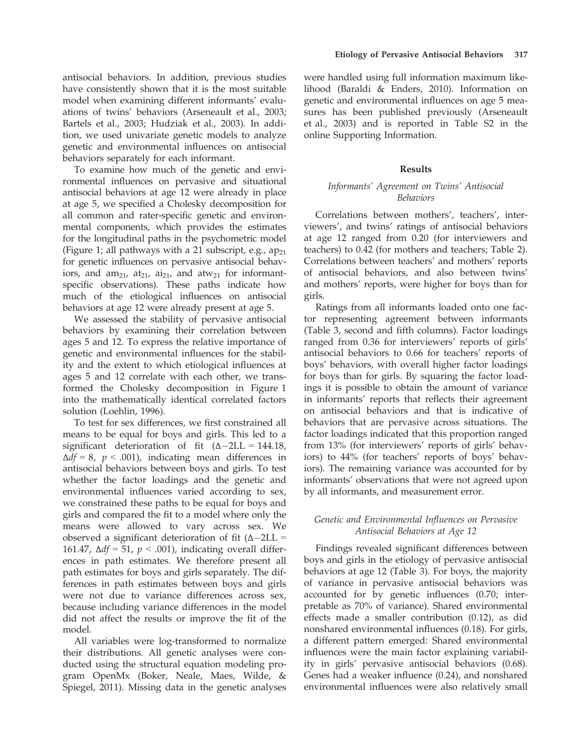antisocial behaviors. In addition, previous studies have consistently shown that it is the most suitable model when examining different informants' evaluations of twins' behaviors (Arseneault et al., 2003; Bartels et al., 2003; Hudziak et al., 2003). In addition, we used univariate genetic models to analyze genetic and environmental influences on antisocial behaviors separately for each informant.

To examine how much of the genetic and environmental influences on pervasive and situational antisocial behaviors at age 12 were already in place at age 5, we specified a Cholesky decomposition for all common and rater-specific genetic and environmental components, which provides the estimates for the longitudinal paths in the psychometric model (Figure 1; all pathways with a 21 subscript, e.g.,  $ap_{21}$ for genetic influences on pervasive antisocial behaviors, and  $am_{21}$ ,  $at_{21}$ ,  $ai_{21}$ , and  $at_{21}$  for informantspecific observations). These paths indicate how much of the etiological influences on antisocial behaviors at age 12 were already present at age 5.

We assessed the stability of pervasive antisocial behaviors by examining their correlation between ages 5 and 12. To express the relative importance of genetic and environmental influences for the stability and the extent to which etiological influences at ages 5 and 12 correlate with each other, we transformed the Cholesky decomposition in Figure 1 into the mathematically identical correlated factors solution (Loehlin, 1996).

To test for sex differences, we first constrained all means to be equal for boys and girls. This led to a significant deterioration of fit  $(\Delta - 2LL = 144.18)$ ,  $\Delta df = 8$ ,  $p < .001$ ), indicating mean differences in antisocial behaviors between boys and girls. To test whether the factor loadings and the genetic and environmental influences varied according to sex, we constrained these paths to be equal for boys and girls and compared the fit to a model where only the means were allowed to vary across sex. We observed a significant deterioration of fit  $(\Delta - 2LL =$ 161.47,  $\Delta df = 51$ ,  $p < .001$ ), indicating overall differences in path estimates. We therefore present all path estimates for boys and girls separately. The differences in path estimates between boys and girls were not due to variance differences across sex, because including variance differences in the model did not affect the results or improve the fit of the model.

All variables were log-transformed to normalize their distributions. All genetic analyses were conducted using the structural equation modeling program OpenMx (Boker, Neale, Maes, Wilde, & Spiegel, 2011). Missing data in the genetic analyses

were handled using full information maximum likelihood (Baraldi & Enders, 2010). Information on genetic and environmental influences on age 5 measures has been published previously (Arseneault et al., 2003) and is reported in Table S2 in the online Supporting Information.

### Results

# Informants' Agreement on Twins' Antisocial Behaviors

Correlations between mothers', teachers', interviewers', and twins' ratings of antisocial behaviors at age 12 ranged from 0.20 (for interviewers and teachers) to 0.42 (for mothers and teachers; Table 2). Correlations between teachers' and mothers' reports of antisocial behaviors, and also between twins' and mothers' reports, were higher for boys than for girls.

Ratings from all informants loaded onto one factor representing agreement between informants (Table 3, second and fifth columns). Factor loadings ranged from 0.36 for interviewers' reports of girls' antisocial behaviors to 0.66 for teachers' reports of boys' behaviors, with overall higher factor loadings for boys than for girls. By squaring the factor loadings it is possible to obtain the amount of variance in informants' reports that reflects their agreement on antisocial behaviors and that is indicative of behaviors that are pervasive across situations. The factor loadings indicated that this proportion ranged from 13% (for interviewers' reports of girls' behaviors) to 44% (for teachers' reports of boys' behaviors). The remaining variance was accounted for by informants' observations that were not agreed upon by all informants, and measurement error.

# Genetic and Environmental Influences on Pervasive Antisocial Behaviors at Age 12

Findings revealed significant differences between boys and girls in the etiology of pervasive antisocial behaviors at age 12 (Table 3). For boys, the majority of variance in pervasive antisocial behaviors was accounted for by genetic influences (0.70; interpretable as 70% of variance). Shared environmental effects made a smaller contribution (0.12), as did nonshared environmental influences (0.18). For girls, a different pattern emerged: Shared environmental influences were the main factor explaining variability in girls' pervasive antisocial behaviors (0.68). Genes had a weaker influence (0.24), and nonshared environmental influences were also relatively small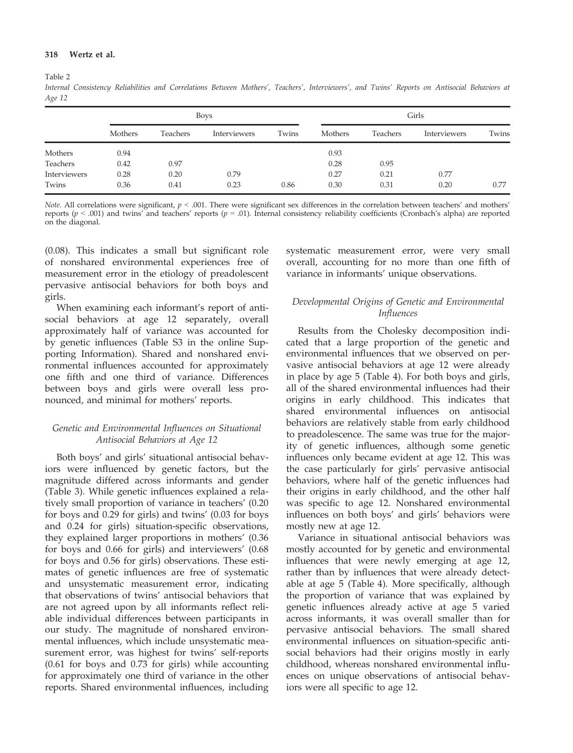#### 318 Wertz et al.

Table 2

Internal Consistency Reliabilities and Correlations Between Mothers', Teachers', Interviewers', and Twins' Reports on Antisocial Behaviors at Age 12

|              |         |          | <b>Boys</b>  |       | Girls   |          |              |       |
|--------------|---------|----------|--------------|-------|---------|----------|--------------|-------|
|              | Mothers | Teachers | Interviewers | Twins | Mothers | Teachers | Interviewers | Twins |
| Mothers      | 0.94    |          |              |       | 0.93    |          |              |       |
| Teachers     | 0.42    | 0.97     |              |       | 0.28    | 0.95     |              |       |
| Interviewers | 0.28    | 0.20     | 0.79         |       | 0.27    | 0.21     | 0.77         |       |
| Twins        | 0.36    | 0.41     | 0.23         | 0.86  | 0.30    | 0.31     | 0.20         | 0.77  |

Note. All correlations were significant,  $p < .001$ . There were significant sex differences in the correlation between teachers' and mothers' reports ( $p < .001$ ) and twins' and teachers' reports ( $p = .01$ ). Internal consistency reliability coefficients (Cronbach's alpha) are reported on the diagonal.

(0.08). This indicates a small but significant role of nonshared environmental experiences free of measurement error in the etiology of preadolescent pervasive antisocial behaviors for both boys and girls.

When examining each informant's report of antisocial behaviors at age 12 separately, overall approximately half of variance was accounted for by genetic influences (Table S3 in the online Supporting Information). Shared and nonshared environmental influences accounted for approximately one fifth and one third of variance. Differences between boys and girls were overall less pronounced, and minimal for mothers' reports.

# Genetic and Environmental Influences on Situational Antisocial Behaviors at Age 12

Both boys' and girls' situational antisocial behaviors were influenced by genetic factors, but the magnitude differed across informants and gender (Table 3). While genetic influences explained a relatively small proportion of variance in teachers' (0.20 for boys and 0.29 for girls) and twins' (0.03 for boys and 0.24 for girls) situation-specific observations, they explained larger proportions in mothers' (0.36 for boys and 0.66 for girls) and interviewers' (0.68 for boys and 0.56 for girls) observations. These estimates of genetic influences are free of systematic and unsystematic measurement error, indicating that observations of twins' antisocial behaviors that are not agreed upon by all informants reflect reliable individual differences between participants in our study. The magnitude of nonshared environmental influences, which include unsystematic measurement error, was highest for twins' self-reports (0.61 for boys and 0.73 for girls) while accounting for approximately one third of variance in the other reports. Shared environmental influences, including

systematic measurement error, were very small overall, accounting for no more than one fifth of variance in informants' unique observations.

# Developmental Origins of Genetic and Environmental Influences

Results from the Cholesky decomposition indicated that a large proportion of the genetic and environmental influences that we observed on pervasive antisocial behaviors at age 12 were already in place by age 5 (Table 4). For both boys and girls, all of the shared environmental influences had their origins in early childhood. This indicates that shared environmental influences on antisocial behaviors are relatively stable from early childhood to preadolescence. The same was true for the majority of genetic influences, although some genetic influences only became evident at age 12. This was the case particularly for girls' pervasive antisocial behaviors, where half of the genetic influences had their origins in early childhood, and the other half was specific to age 12. Nonshared environmental influences on both boys' and girls' behaviors were mostly new at age 12.

Variance in situational antisocial behaviors was mostly accounted for by genetic and environmental influences that were newly emerging at age 12, rather than by influences that were already detectable at age 5 (Table 4). More specifically, although the proportion of variance that was explained by genetic influences already active at age 5 varied across informants, it was overall smaller than for pervasive antisocial behaviors. The small shared environmental influences on situation-specific antisocial behaviors had their origins mostly in early childhood, whereas nonshared environmental influences on unique observations of antisocial behaviors were all specific to age 12.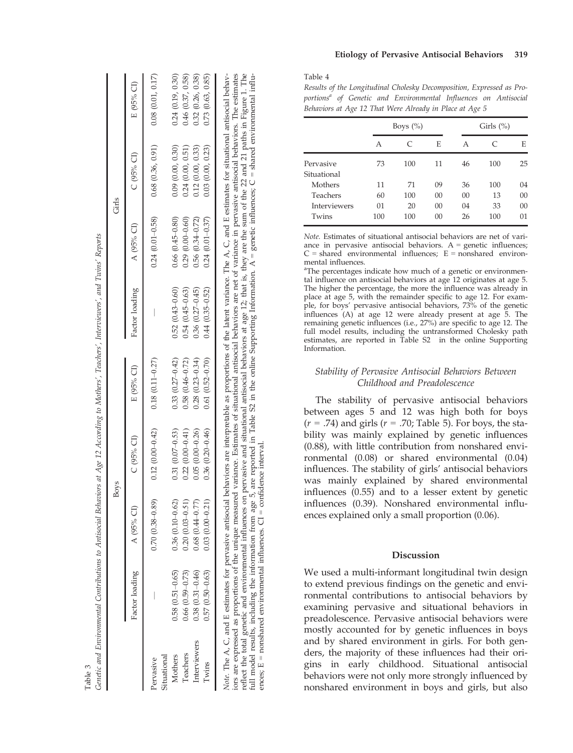|                          |                     |                        | <b>Boys</b>         |                     |                     | Girls                  |                  |                  |
|--------------------------|---------------------|------------------------|---------------------|---------------------|---------------------|------------------------|------------------|------------------|
|                          | Factor loading      | $A(95%$ CI)            | $C(95%$ CI)         | E (95% CI)          | Factor loading      | A (95% CI)             | $C(95%$ CI)      | E (95% CI)       |
| Situational<br>Pervasive |                     | $0.70(0.38-0.89)$      | $0.12(0.00 - 0.42)$ | $0.18(0.11 - 0.27)$ |                     | $0.24(0.01 - 0.58)$    | 0.68(0.36, 0.91) | 0.08(0.01, 0.17) |
| Mothers                  | $0.58(0.51 - 0.65)$ | $0.36$ $(0.10 - 0.62)$ | $0.31(0.07-0.53)$   | $0.33(0.27 - 0.42)$ | $0.52(0.43 - 0.60)$ | $0.66(0.45-0.80)$      | 0.09(0.00, 0.30) | 0.24(0.19, 0.30) |
| Teachers                 | $0.66(0.59 - 0.73)$ | $0.20(0.03 - 0.51)$    | $0.22(0.00-0.41)$   | $0.58(0.46 - 0.72)$ | $0.54(0.45 - 0.63)$ | $0.29(0.00-0.60)$      | 0.24(0.00, 0.51) | 0.46(0.37, 0.58) |
| Interviewers             | $0.38(0.31 - 0.46)$ | $0.68$ $(0.44 - 0.77)$ | $0.05(0.00-0.26)$   | $0.28(0.23 - 0.34)$ | $0.36(0.27 - 0.45)$ | $0.56$ $(0.34 - 0.72)$ | 0.12(0.00, 0.33) | 0.32(0.26, 0.38) |
| Twins                    | $0.57(0.50 - 0.63)$ | $0.03(0.00-0.21)$      | $0.36(0.20-0.46)$   | $0.61(0.52 - 0.70)$ | $0.44(0.35 - 0.52)$ | $0.24(0.01 - 0.37)$    | 0.03(0.00, 0.23) | 0.73(0.63, 0.85) |

Table 3

iors are expressed as proportions of the unique measured variance. Estimates of situational antisocial behaviors are net of variance in pervasive antisocial behaviors. The estimates reflect the total genetic and environme Note. The A, C, and E estimates for pervasive antisocial behaviors are interpretable as proportions of the latent variance. The A, C, and E estimates for situational antisocial behaviors are expressed as proportions of the unique measured variance. Estimates of situational antisocial behaviors are net of variance in pervasive antisocial behaviors. The estimates reflect the total genetic and environmental influences on pervasive and situational antisocial behaviors at age 12; that is, they are the sum of the 22 and 21 paths in Figure 1. The full model results, including the information from age 5, are reported in Table S2 in the online Supporting Information. A = genetic influences; C = shared environmental influ-= nonshared environmental influences.  $CI =$  confidence interval. ences;  $E =$  nonshared environmental influences.  $CI =$  confidence interval. ā ences:

Table 4

Results of the Longitudinal Cholesky Decomposition, Expressed as Proportions<sup>a</sup> of Genetic and Environmental Influences on Antisocial Behaviors at Age 12 That Were Already in Place at Age 5

|              |     | Boys $(\%)$ |        |    | Girls $(\%)$ |        |  |
|--------------|-----|-------------|--------|----|--------------|--------|--|
|              | А   | $\subset$   | E      | А  | C            | E      |  |
| Pervasive    | 73  | 100         | 11     | 46 | 100          | 25     |  |
| Situational  |     |             |        |    |              |        |  |
| Mothers      | 11  | 71          | 09     | 36 | 100          | 04     |  |
| Teachers     | 60  | 100         | $00\,$ | 00 | 13           | $00\,$ |  |
| Interviewers | 01  | 20          | $00\,$ | 04 | 33           | 00     |  |
| Twins        | 100 | 100         | 00     | 26 | 100          | 01     |  |

Note. Estimates of situational antisocial behaviors are net of variance in pervasive antisocial behaviors.  $A =$  genetic influences;  $C =$  shared environmental influences;  $E =$  nonshared environmental influences.

<sup>a</sup>The percentages indicate how much of a genetic or environmental influence on antisocial behaviors at age 12 originates at age 5. The higher the percentage, the more the in fluence was already in place at age 5, with the remainder speci fic to age 12. For example, for boys' pervasive antisocial behaviors, 73% of the genetic in fluences (A) at age 12 were already present at age 5. The remaining genetic in fluences (i.e., 27%) are speci fic to age 12. The full model results, including the untransformed Cholesky path estimates, are reported in Table S2 in the online Supporting Information.

# Stability of Pervasive Antisocial Behaviors Between Childhood and Preadolescence

The stability of pervasive antisocial behaviors between ages 5 and 12 was high both for boys  $(r = .74)$  and girls  $(r = .70;$  Table 5). For boys, the stability was mainly explained by genetic influences (0.88), with little contribution from nonshared environmental (0.08) or shared environmental (0.04) in fluences. The stability of girls ' antisocial behaviors was mainly explained by shared environmental in fluences (0.55) and to a lesser extent by genetic in fluences (0.39). Nonshared environmental in fluences explained only a small proportion (0.06).

# Discussion

We used a multi-informant longitudinal twin design to extend previous findings on the genetic and environmental contributions to antisocial behaviors by examining pervasive and situational behaviors in preadolescence. Pervasive antisocial behaviors were mostly accounted for by genetic in fluences in boys and by shared environment in girls. For both genders, the majority of these influences had their origins in early childhood. Situational antisocial behaviors were not only more strongly in fluenced by nonshared environment in boys and girls, but also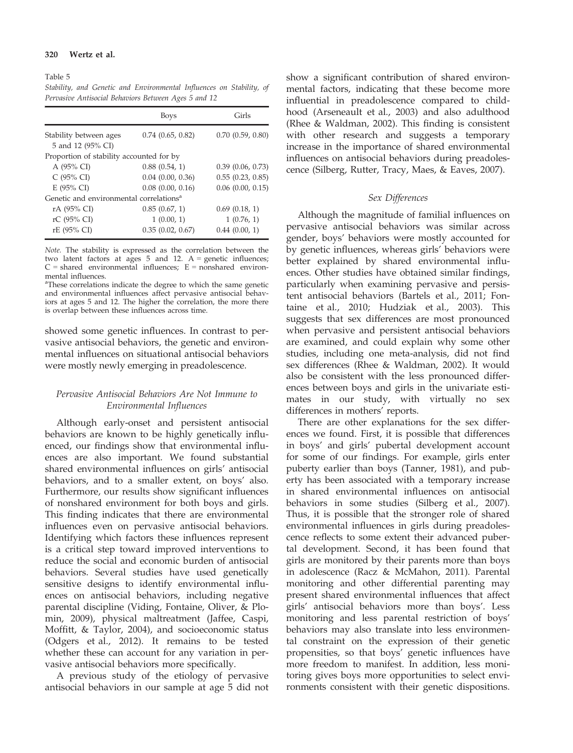#### 320 Wertz et al.

Table 5 Stability, and Genetic and Environmental Influences on Stability, of Pervasive Antisocial Behaviors Between Ages 5 and 12

|                                                     | Boys                  | Girls                 |
|-----------------------------------------------------|-----------------------|-----------------------|
| Stability between ages<br>5 and 12 (95% CI)         | $0.74$ $(0.65, 0.82)$ | $0.70$ $(0.59, 0.80)$ |
| Proportion of stability accounted for by            |                       |                       |
| A (95% CI)                                          | 0.88(0.54, 1)         | 0.39(0.06, 0.73)      |
| $C$ (95% CI)                                        | $0.04$ $(0.00, 0.36)$ | 0.55(0.23, 0.85)      |
| $E(95\% CI)$                                        | 0.08(0.00, 0.16)      | $0.06$ $(0.00, 0.15)$ |
| Genetic and environmental correlations <sup>a</sup> |                       |                       |
| rA (95% CI)                                         | 0.85(0.67, 1)         | 0.69(0.18, 1)         |
| rC (95% CI)                                         | 1(0.00, 1)            | 1(0.76, 1)            |
| rE (95% CI)                                         | 0.35(0.02, 0.67)      | 0.44(0.00, 1)         |

Note. The stability is expressed as the correlation between the two latent factors at ages 5 and 12.  $A =$  genetic influences;  $C =$  shared environmental influences;  $E =$  nonshared environmental influences.

<sup>a</sup>These correlations indicate the degree to which the same genetic and environmental influences affect pervasive antisocial behaviors at ages 5 and 12. The higher the correlation, the more there is overlap between these influences across time.

showed some genetic influences. In contrast to pervasive antisocial behaviors, the genetic and environmental influences on situational antisocial behaviors were mostly newly emerging in preadolescence.

### Pervasive Antisocial Behaviors Are Not Immune to Environmental Influences

Although early-onset and persistent antisocial behaviors are known to be highly genetically influenced, our findings show that environmental influences are also important. We found substantial shared environmental influences on girls' antisocial behaviors, and to a smaller extent, on boys' also. Furthermore, our results show significant influences of nonshared environment for both boys and girls. This finding indicates that there are environmental influences even on pervasive antisocial behaviors. Identifying which factors these influences represent is a critical step toward improved interventions to reduce the social and economic burden of antisocial behaviors. Several studies have used genetically sensitive designs to identify environmental influences on antisocial behaviors, including negative parental discipline (Viding, Fontaine, Oliver, & Plomin, 2009), physical maltreatment (Jaffee, Caspi, Moffitt, & Taylor, 2004), and socioeconomic status (Odgers et al., 2012). It remains to be tested whether these can account for any variation in pervasive antisocial behaviors more specifically.

A previous study of the etiology of pervasive antisocial behaviors in our sample at age 5 did not show a significant contribution of shared environmental factors, indicating that these become more influential in preadolescence compared to childhood (Arseneault et al., 2003) and also adulthood (Rhee & Waldman, 2002). This finding is consistent with other research and suggests a temporary increase in the importance of shared environmental influences on antisocial behaviors during preadolescence (Silberg, Rutter, Tracy, Maes, & Eaves, 2007).

### Sex Differences

Although the magnitude of familial influences on pervasive antisocial behaviors was similar across gender, boys' behaviors were mostly accounted for by genetic influences, whereas girls' behaviors were better explained by shared environmental influences. Other studies have obtained similar findings, particularly when examining pervasive and persistent antisocial behaviors (Bartels et al., 2011; Fontaine et al., 2010; Hudziak et al., 2003). This suggests that sex differences are most pronounced when pervasive and persistent antisocial behaviors are examined, and could explain why some other studies, including one meta-analysis, did not find sex differences (Rhee & Waldman, 2002). It would also be consistent with the less pronounced differences between boys and girls in the univariate estimates in our study, with virtually no sex differences in mothers' reports.

There are other explanations for the sex differences we found. First, it is possible that differences in boys' and girls' pubertal development account for some of our findings. For example, girls enter puberty earlier than boys (Tanner, 1981), and puberty has been associated with a temporary increase in shared environmental influences on antisocial behaviors in some studies (Silberg et al., 2007). Thus, it is possible that the stronger role of shared environmental influences in girls during preadolescence reflects to some extent their advanced pubertal development. Second, it has been found that girls are monitored by their parents more than boys in adolescence (Racz & McMahon, 2011). Parental monitoring and other differential parenting may present shared environmental influences that affect girls' antisocial behaviors more than boys'. Less monitoring and less parental restriction of boys' behaviors may also translate into less environmental constraint on the expression of their genetic propensities, so that boys' genetic influences have more freedom to manifest. In addition, less monitoring gives boys more opportunities to select environments consistent with their genetic dispositions.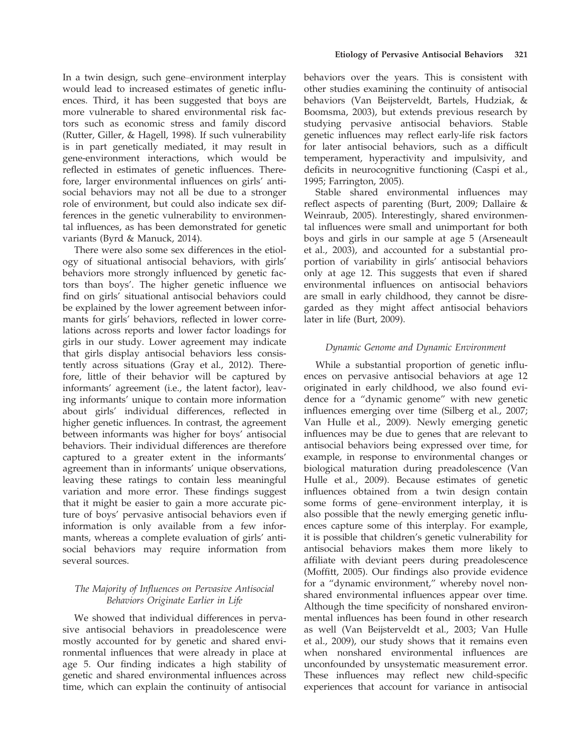In a twin design, such gene–environment interplay would lead to increased estimates of genetic influences. Third, it has been suggested that boys are more vulnerable to shared environmental risk factors such as economic stress and family discord (Rutter, Giller, & Hagell, 1998). If such vulnerability is in part genetically mediated, it may result in gene-environment interactions, which would be reflected in estimates of genetic influences. Therefore, larger environmental influences on girls' antisocial behaviors may not all be due to a stronger role of environment, but could also indicate sex differences in the genetic vulnerability to environmental influences, as has been demonstrated for genetic variants (Byrd & Manuck, 2014).

There were also some sex differences in the etiology of situational antisocial behaviors, with girls' behaviors more strongly influenced by genetic factors than boys'. The higher genetic influence we find on girls' situational antisocial behaviors could be explained by the lower agreement between informants for girls' behaviors, reflected in lower correlations across reports and lower factor loadings for girls in our study. Lower agreement may indicate that girls display antisocial behaviors less consistently across situations (Gray et al., 2012). Therefore, little of their behavior will be captured by informants' agreement (i.e., the latent factor), leaving informants' unique to contain more information about girls' individual differences, reflected in higher genetic influences. In contrast, the agreement between informants was higher for boys' antisocial behaviors. Their individual differences are therefore captured to a greater extent in the informants' agreement than in informants' unique observations, leaving these ratings to contain less meaningful variation and more error. These findings suggest that it might be easier to gain a more accurate picture of boys' pervasive antisocial behaviors even if information is only available from a few informants, whereas a complete evaluation of girls' antisocial behaviors may require information from several sources.

# The Majority of Influences on Pervasive Antisocial Behaviors Originate Earlier in Life

We showed that individual differences in pervasive antisocial behaviors in preadolescence were mostly accounted for by genetic and shared environmental influences that were already in place at age 5. Our finding indicates a high stability of genetic and shared environmental influences across time, which can explain the continuity of antisocial

behaviors over the years. This is consistent with other studies examining the continuity of antisocial behaviors (Van Beijsterveldt, Bartels, Hudziak, & Boomsma, 2003), but extends previous research by studying pervasive antisocial behaviors. Stable genetic influences may reflect early-life risk factors for later antisocial behaviors, such as a difficult temperament, hyperactivity and impulsivity, and deficits in neurocognitive functioning (Caspi et al., 1995; Farrington, 2005).

Stable shared environmental influences may reflect aspects of parenting (Burt, 2009; Dallaire & Weinraub, 2005). Interestingly, shared environmental influences were small and unimportant for both boys and girls in our sample at age 5 (Arseneault et al., 2003), and accounted for a substantial proportion of variability in girls' antisocial behaviors only at age 12. This suggests that even if shared environmental influences on antisocial behaviors are small in early childhood, they cannot be disregarded as they might affect antisocial behaviors later in life (Burt, 2009).

# Dynamic Genome and Dynamic Environment

While a substantial proportion of genetic influences on pervasive antisocial behaviors at age 12 originated in early childhood, we also found evidence for a "dynamic genome" with new genetic influences emerging over time (Silberg et al., 2007; Van Hulle et al., 2009). Newly emerging genetic influences may be due to genes that are relevant to antisocial behaviors being expressed over time, for example, in response to environmental changes or biological maturation during preadolescence (Van Hulle et al., 2009). Because estimates of genetic influences obtained from a twin design contain some forms of gene–environment interplay, it is also possible that the newly emerging genetic influences capture some of this interplay. For example, it is possible that children's genetic vulnerability for antisocial behaviors makes them more likely to affiliate with deviant peers during preadolescence (Moffitt, 2005). Our findings also provide evidence for a "dynamic environment," whereby novel nonshared environmental influences appear over time. Although the time specificity of nonshared environmental influences has been found in other research as well (Van Beijsterveldt et al., 2003; Van Hulle et al., 2009), our study shows that it remains even when nonshared environmental influences are unconfounded by unsystematic measurement error. These influences may reflect new child-specific experiences that account for variance in antisocial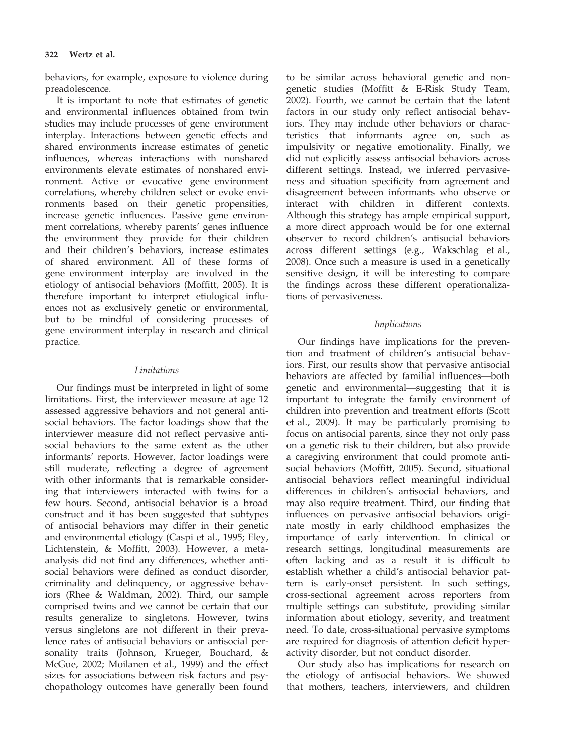behaviors, for example, exposure to violence during preadolescence.

It is important to note that estimates of genetic and environmental influences obtained from twin studies may include processes of gene–environment interplay. Interactions between genetic effects and shared environments increase estimates of genetic influences, whereas interactions with nonshared environments elevate estimates of nonshared environment. Active or evocative gene–environment correlations, whereby children select or evoke environments based on their genetic propensities, increase genetic influences. Passive gene–environment correlations, whereby parents' genes influence the environment they provide for their children and their children's behaviors, increase estimates of shared environment. All of these forms of gene–environment interplay are involved in the etiology of antisocial behaviors (Moffitt, 2005). It is therefore important to interpret etiological influences not as exclusively genetic or environmental, but to be mindful of considering processes of gene–environment interplay in research and clinical practice.

# Limitations

Our findings must be interpreted in light of some limitations. First, the interviewer measure at age 12 assessed aggressive behaviors and not general antisocial behaviors. The factor loadings show that the interviewer measure did not reflect pervasive antisocial behaviors to the same extent as the other informants' reports. However, factor loadings were still moderate, reflecting a degree of agreement with other informants that is remarkable considering that interviewers interacted with twins for a few hours. Second, antisocial behavior is a broad construct and it has been suggested that subtypes of antisocial behaviors may differ in their genetic and environmental etiology (Caspi et al., 1995; Eley, Lichtenstein, & Moffitt, 2003). However, a metaanalysis did not find any differences, whether antisocial behaviors were defined as conduct disorder, criminality and delinquency, or aggressive behaviors (Rhee & Waldman, 2002). Third, our sample comprised twins and we cannot be certain that our results generalize to singletons. However, twins versus singletons are not different in their prevalence rates of antisocial behaviors or antisocial personality traits (Johnson, Krueger, Bouchard, & McGue, 2002; Moilanen et al., 1999) and the effect sizes for associations between risk factors and psychopathology outcomes have generally been found to be similar across behavioral genetic and nongenetic studies (Moffitt & E-Risk Study Team, 2002). Fourth, we cannot be certain that the latent factors in our study only reflect antisocial behaviors. They may include other behaviors or characteristics that informants agree on, such as impulsivity or negative emotionality. Finally, we did not explicitly assess antisocial behaviors across different settings. Instead, we inferred pervasiveness and situation specificity from agreement and disagreement between informants who observe or interact with children in different contexts. Although this strategy has ample empirical support, a more direct approach would be for one external observer to record children's antisocial behaviors across different settings (e.g., Wakschlag et al., 2008). Once such a measure is used in a genetically sensitive design, it will be interesting to compare the findings across these different operationalizations of pervasiveness.

### Implications

Our findings have implications for the prevention and treatment of children's antisocial behaviors. First, our results show that pervasive antisocial behaviors are affected by familial influences—both genetic and environmental—suggesting that it is important to integrate the family environment of children into prevention and treatment efforts (Scott et al., 2009). It may be particularly promising to focus on antisocial parents, since they not only pass on a genetic risk to their children, but also provide a caregiving environment that could promote antisocial behaviors (Moffitt, 2005). Second, situational antisocial behaviors reflect meaningful individual differences in children's antisocial behaviors, and may also require treatment. Third, our finding that influences on pervasive antisocial behaviors originate mostly in early childhood emphasizes the importance of early intervention. In clinical or research settings, longitudinal measurements are often lacking and as a result it is difficult to establish whether a child's antisocial behavior pattern is early-onset persistent. In such settings, cross-sectional agreement across reporters from multiple settings can substitute, providing similar information about etiology, severity, and treatment need. To date, cross-situational pervasive symptoms are required for diagnosis of attention deficit hyperactivity disorder, but not conduct disorder.

Our study also has implications for research on the etiology of antisocial behaviors. We showed that mothers, teachers, interviewers, and children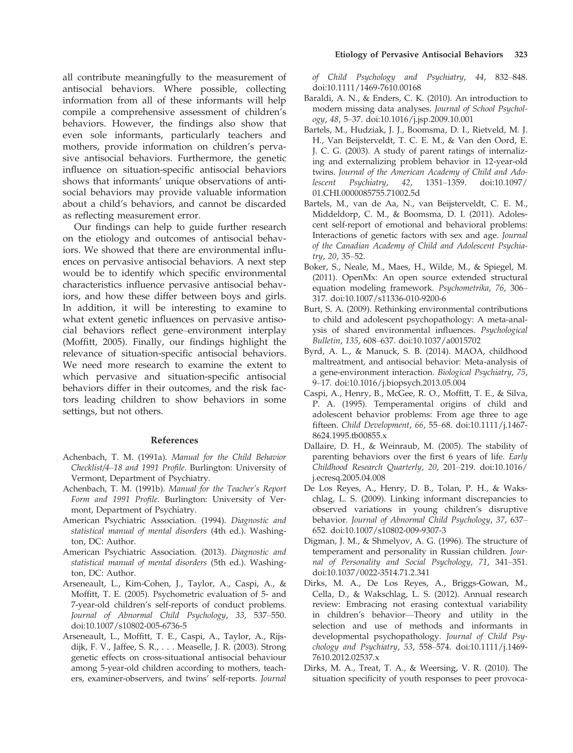all contribute meaningfully to the measurement of antisocial behaviors. Where possible, collecting information from all of these informants will help compile a comprehensive assessment of children's behaviors. However, the findings also show that even sole informants, particularly teachers and mothers, provide information on children's pervasive antisocial behaviors. Furthermore, the genetic influence on situation-specific antisocial behaviors shows that informants' unique observations of antisocial behaviors may provide valuable information about a child's behaviors, and cannot be discarded as reflecting measurement error.

Our findings can help to guide further research on the etiology and outcomes of antisocial behaviors. We showed that there are environmental influences on pervasive antisocial behaviors. A next step would be to identify which specific environmental characteristics influence pervasive antisocial behaviors, and how these differ between boys and girls. In addition, it will be interesting to examine to what extent genetic influences on pervasive antisocial behaviors reflect gene–environment interplay (Moffitt, 2005). Finally, our findings highlight the relevance of situation-specific antisocial behaviors. We need more research to examine the extent to which pervasive and situation-specific antisocial behaviors differ in their outcomes, and the risk factors leading children to show behaviors in some settings, but not others.

#### References

- Achenbach, T. M. (1991a). Manual for the Child Behavior Checklist/4–18 and 1991 Profile. Burlington: University of Vermont, Department of Psychiatry.
- Achenbach, T. M. (1991b). Manual for the Teacher's Report Form and 1991 Profile. Burlington: University of Vermont, Department of Psychiatry.
- American Psychiatric Association. (1994). Diagnostic and statistical manual of mental disorders (4th ed.). Washington, DC: Author.
- American Psychiatric Association. (2013). Diagnostic and statistical manual of mental disorders (5th ed.). Washington, DC: Author.
- Arseneault, L., Kim-Cohen, J., Taylor, A., Caspi, A., & Moffitt, T. E. (2005). Psychometric evaluation of 5- and 7-year-old children's self-reports of conduct problems. Journal of Abnormal Child Psychology, 33, 537–550. doi[:10.1007/s10802-005-6736-5](http://dx.doi.org/10.1007/s10802-005-6736-5)
- Arseneault, L., Moffitt, T. E., Caspi, A., Taylor, A., Rijsdijk, F. V., Jaffee, S. R., . . . Measelle, J. R. (2003). Strong genetic effects on cross-situational antisocial behaviour among 5-year-old children according to mothers, teachers, examiner-observers, and twins' self-reports. Journal

of Child Psychology and Psychiatry, 44, 832–848. doi:[10.1111/1469-7610.00168](http://dx.doi.org/10.1111/1469-7610.00168)

- Baraldi, A. N., & Enders, C. K. (2010). An introduction to modern missing data analyses. Journal of School Psychology, 48, 5–37. doi[:10.1016/j.jsp.2009.10.001](http://dx.doi.org/10.1016/j.jsp.2009.10.001)
- Bartels, M., Hudziak, J. J., Boomsma, D. I., Rietveld, M. J. H., Van Beijsterveldt, T. C. E. M., & Van den Oord, E. J. C. G. (2003). A study of parent ratings of internalizing and externalizing problem behavior in 12-year-old twins. Journal of the American Academy of Child and Adolescent Psychiatry, 42, 1351–1359. doi:[10.1097/](http://dx.doi.org/10.1097/01.CHI.0000085755.71002.5d) [01.CHI.0000085755.71002.5d](http://dx.doi.org/10.1097/01.CHI.0000085755.71002.5d)
- Bartels, M., van de Aa, N., van Beijsterveldt, C. E. M., Middeldorp, C. M., & Boomsma, D. I. (2011). Adolescent self-report of emotional and behavioral problems: Interactions of genetic factors with sex and age. Journal of the Canadian Academy of Child and Adolescent Psychiatry, 20, 35–52.
- Boker, S., Neale, M., Maes, H., Wilde, M., & Spiegel, M. (2011). OpenMx: An open source extended structural equation modeling framework. Psychometrika, 76, 306– 317. doi:[10.1007/s11336-010-9200-6](http://dx.doi.org/10.1007/s11336-010-9200-6)
- Burt, S. A. (2009). Rethinking environmental contributions to child and adolescent psychopathology: A meta-analysis of shared environmental influences. Psychological Bulletin, 135, 608–637. doi[:10.1037/a0015702](http://dx.doi.org/10.1037/a0015702)
- Byrd, A. L., & Manuck, S. B. (2014). MAOA, childhood maltreatment, and antisocial behavior: Meta-analysis of a gene-environment interaction. Biological Psychiatry, 75, 9–17. doi[:10.1016/j.biopsych.2013.05.004](http://dx.doi.org/10.1016/j.biopsych.2013.05.004)
- Caspi, A., Henry, B., McGee, R. O., Moffitt, T. E., & Silva, P. A. (1995). Temperamental origins of child and adolescent behavior problems: From age three to age fifteen. Child Development, 66, 55–68. doi:[10.1111/j.1467-](http://dx.doi.org/10.1111/j.1467-8624.1995.tb00855.x) [8624.1995.tb00855.x](http://dx.doi.org/10.1111/j.1467-8624.1995.tb00855.x)
- Dallaire, D. H., & Weinraub, M. (2005). The stability of parenting behaviors over the first 6 years of life. Early Childhood Research Quarterly, 20, 201–219. doi:[10.1016/](http://dx.doi.org/10.1016/j.ecresq.2005.04.008) [j.ecresq.2005.04.008](http://dx.doi.org/10.1016/j.ecresq.2005.04.008)
- De Los Reyes, A., Henry, D. B., Tolan, P. H., & Wakschlag, L. S. (2009). Linking informant discrepancies to observed variations in young children's disruptive behavior. Journal of Abnormal Child Psychology, 37, 637– 652. doi:[10.1007/s10802-009-9307-3](http://dx.doi.org/10.1007/s10802-009-9307-3)
- Digman, J. M., & Shmelyov, A. G. (1996). The structure of temperament and personality in Russian children. Journal of Personality and Social Psychology, 71, 341–351. doi:[10.1037/0022-3514.71.2.341](http://dx.doi.org/10.1037/0022-3514.71.2.341)
- Dirks, M. A., De Los Reyes, A., Briggs-Gowan, M., Cella, D., & Wakschlag, L. S. (2012). Annual research review: Embracing not erasing contextual variability in children's behavior—Theory and utility in the selection and use of methods and informants in developmental psychopathology. Journal of Child Psychology and Psychiatry, 53, 558–574. doi:[10.1111/j.1469-](http://dx.doi.org/10.1111/j.1469-7610.2012.02537.x) [7610.2012.02537.x](http://dx.doi.org/10.1111/j.1469-7610.2012.02537.x)
- Dirks, M. A., Treat, T. A., & Weersing, V. R. (2010). The situation specificity of youth responses to peer provoca-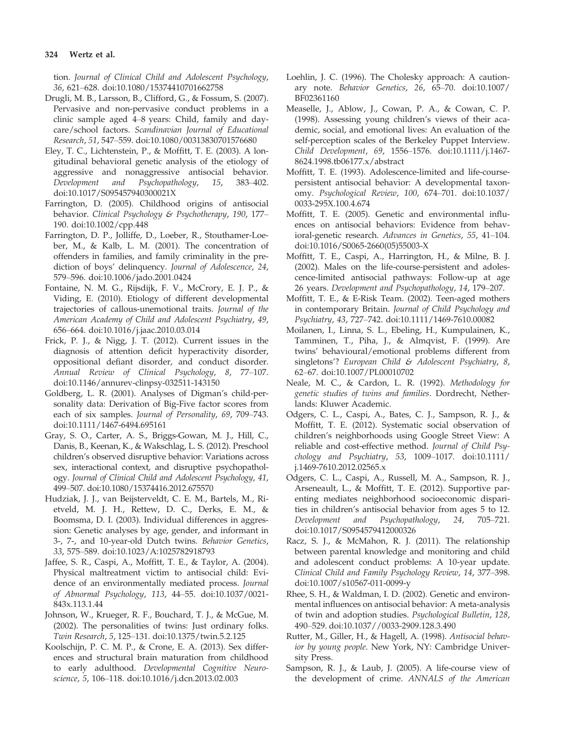tion. Journal of Clinical Child and Adolescent Psychology, 36, 621–628. doi[:10.1080/15374410701662758](http://dx.doi.org/10.1080/15374410701662758)

- Drugli, M. B., Larsson, B., Clifford, G., & Fossum, S. (2007). Pervasive and non-pervasive conduct problems in a clinic sample aged 4–8 years: Child, family and daycare/school factors. Scandinavian Journal of Educational Research, 51, 547–559. doi[:10.1080/00313830701576680](http://dx.doi.org/10.1080/00313830701576680)
- Eley, T. C., Lichtenstein, P., & Moffitt, T. E. (2003). A longitudinal behavioral genetic analysis of the etiology of aggressive and nonaggressive antisocial behavior. Development and Psychopathology, 15, 383–402. doi:[10.1017/S095457940300021X](http://dx.doi.org/10.1017/S095457940300021X)
- Farrington, D. (2005). Childhood origins of antisocial behavior. Clinical Psychology & Psychotherapy, 190, 177-190. doi[:10.1002/cpp.448](http://dx.doi.org/10.1002/cpp.448)
- Farrington, D. P., Jolliffe, D., Loeber, R., Stouthamer-Loeber, M., & Kalb, L. M. (2001). The concentration of offenders in families, and family criminality in the prediction of boys' delinquency. Journal of Adolescence, 24, 579–596. doi[:10.1006/jado.2001.0424](http://dx.doi.org/10.1006/jado.2001.0424)
- Fontaine, N. M. G., Rijsdijk, F. V., McCrory, E. J. P., & Viding, E. (2010). Etiology of different developmental trajectories of callous-unemotional traits. Journal of the American Academy of Child and Adolescent Psychiatry, 49, 656–664. doi[:10.1016/j.jaac.2010.03.014](http://dx.doi.org/10.1016/j.jaac.2010.03.014)
- Frick, P. J., & Nigg, J. T. (2012). Current issues in the diagnosis of attention deficit hyperactivity disorder, oppositional defiant disorder, and conduct disorder. Annual Review of Clinical Psychology, 8, 77–107. doi:[10.1146/annurev-clinpsy-032511-143150](http://dx.doi.org/10.1146/annurev-clinpsy-032511-143150)
- Goldberg, L. R. (2001). Analyses of Digman's child-personality data: Derivation of Big-Five factor scores from each of six samples. Journal of Personality, 69, 709–743. doi:[10.1111/1467-6494.695161](http://dx.doi.org/10.1111/1467-6494.695161)
- Gray, S. O., Carter, A. S., Briggs-Gowan, M. J., Hill, C., Danis, B., Keenan, K., & Wakschlag, L. S. (2012). Preschool children's observed disruptive behavior: Variations across sex, interactional context, and disruptive psychopathology. Journal of Clinical Child and Adolescent Psychology, 41, 499–507. doi[:10.1080/15374416.2012.675570](http://dx.doi.org/10.1080/15374416.2012.675570)
- Hudziak, J. J., van Beijsterveldt, C. E. M., Bartels, M., Rietveld, M. J. H., Rettew, D. C., Derks, E. M., & Boomsma, D. I. (2003). Individual differences in aggression: Genetic analyses by age, gender, and informant in 3-, 7-, and 10-year-old Dutch twins. Behavior Genetics, 33, 575–589. doi[:10.1023/A:1025782918793](http://dx.doi.org/10.1023/A:1025782918793)
- Jaffee, S. R., Caspi, A., Moffitt, T. E., & Taylor, A. (2004). Physical maltreatment victim to antisocial child: Evidence of an environmentally mediated process. Journal of Abnormal Psychology, 113, 44–55. doi:[10.1037/0021-](http://dx.doi.org/10.1037/0021-843x.113.1.44) [843x.113.1.44](http://dx.doi.org/10.1037/0021-843x.113.1.44)
- Johnson, W., Krueger, R. F., Bouchard, T. J., & McGue, M. (2002). The personalities of twins: Just ordinary folks. Twin Research, 5, 125–131. doi:[10.1375/twin.5.2.125](http://dx.doi.org/10.1375/twin.5.2.125)
- Koolschijn, P. C. M. P., & Crone, E. A. (2013). Sex differences and structural brain maturation from childhood to early adulthood. Developmental Cognitive Neuroscience, 5, 106–118. doi[:10.1016/j.dcn.2013.02.003](http://dx.doi.org/10.1016/j.dcn.2013.02.003)
- Loehlin, J. C. (1996). The Cholesky approach: A cautionary note. Behavior Genetics, 26, 65–70. doi:[10.1007/](http://dx.doi.org/10.1007/BF02361160) [BF02361160](http://dx.doi.org/10.1007/BF02361160)
- Measelle, J., Ablow, J., Cowan, P. A., & Cowan, C. P. (1998). Assessing young children's views of their academic, social, and emotional lives: An evaluation of the self-perception scales of the Berkeley Puppet Interview. Child Development, 69, 1556–1576. doi[:10.1111/j.1467-](http://dx.doi.org/10.1111/j.1467-8624.1998.tb06177.x/abstract) [8624.1998.tb06177.x/abstract](http://dx.doi.org/10.1111/j.1467-8624.1998.tb06177.x/abstract)
- Moffitt, T. E. (1993). Adolescence-limited and life-coursepersistent antisocial behavior: A developmental taxonomy. Psychological Review, 100, 674–701. doi:[10.1037/](http://dx.doi.org/10.1037/0033-295X.100.4.674) [0033-295X.100.4.674](http://dx.doi.org/10.1037/0033-295X.100.4.674)
- Moffitt, T. E. (2005). Genetic and environmental influences on antisocial behaviors: Evidence from behavioral-genetic research. Advances in Genetics, 55, 41–104. doi[:10.1016/S0065-2660\(05\)55003-X](http://dx.doi.org/10.1016/S0065-2660(05)55003-X)
- Moffitt, T. E., Caspi, A., Harrington, H., & Milne, B. J. (2002). Males on the life-course-persistent and adolescence-limited antisocial pathways: Follow-up at age 26 years. Development and Psychopathology, 14, 179–207.
- Moffitt, T. E., & E-Risk Team. (2002). Teen-aged mothers in contemporary Britain. Journal of Child Psychology and Psychiatry, 43, 727–742. doi[:10.1111/1469-7610.00082](http://dx.doi.org/10.1111/1469-7610.00082)
- Moilanen, I., Linna, S. L., Ebeling, H., Kumpulainen, K., Tamminen, T., Piha, J., & Almqvist, F. (1999). Are twins' behavioural/emotional problems different from singletons'? European Child & Adolescent Psychiatry, 8, 62–67. doi[:10.1007/PL00010702](http://dx.doi.org/10.1007/PL00010702)
- Neale, M. C., & Cardon, L. R. (1992). Methodology for genetic studies of twins and families. Dordrecht, Netherlands: Kluwer Academic.
- Odgers, C. L., Caspi, A., Bates, C. J., Sampson, R. J., & Moffitt, T. E. (2012). Systematic social observation of children's neighborhoods using Google Street View: A reliable and cost-effective method. Journal of Child Psychology and Psychiatry, 53, 1009–1017. doi[:10.1111/](http://dx.doi.org/10.1111/j.1469-7610.2012.02565.x) [j.1469-7610.2012.02565.x](http://dx.doi.org/10.1111/j.1469-7610.2012.02565.x)
- Odgers, C. L., Caspi, A., Russell, M. A., Sampson, R. J., Arseneault, L., & Moffitt, T. E. (2012). Supportive parenting mediates neighborhood socioeconomic disparities in children's antisocial behavior from ages 5 to 12. Development and Psychopathology, 24, 705–721. doi[:10.1017/S0954579412000326](http://dx.doi.org/10.1017/S0954579412000326)
- Racz, S. J., & McMahon, R. J. (2011). The relationship between parental knowledge and monitoring and child and adolescent conduct problems: A 10-year update. Clinical Child and Family Psychology Review, 14, 377–398. doi[:10.1007/s10567-011-0099-y](http://dx.doi.org/10.1007/s10567-011-0099-y)
- Rhee, S. H., & Waldman, I. D. (2002). Genetic and environmental influences on antisocial behavior: A meta-analysis of twin and adoption studies. Psychological Bulletin, 128, 490–529. doi:[10.1037//0033-2909.128.3.490](http://dx.doi.org/10.1037//0033-2909.128.3.490)
- Rutter, M., Giller, H., & Hagell, A. (1998). Antisocial behavior by young people. New York, NY: Cambridge University Press.
- Sampson, R. J., & Laub, J. (2005). A life-course view of the development of crime. ANNALS of the American